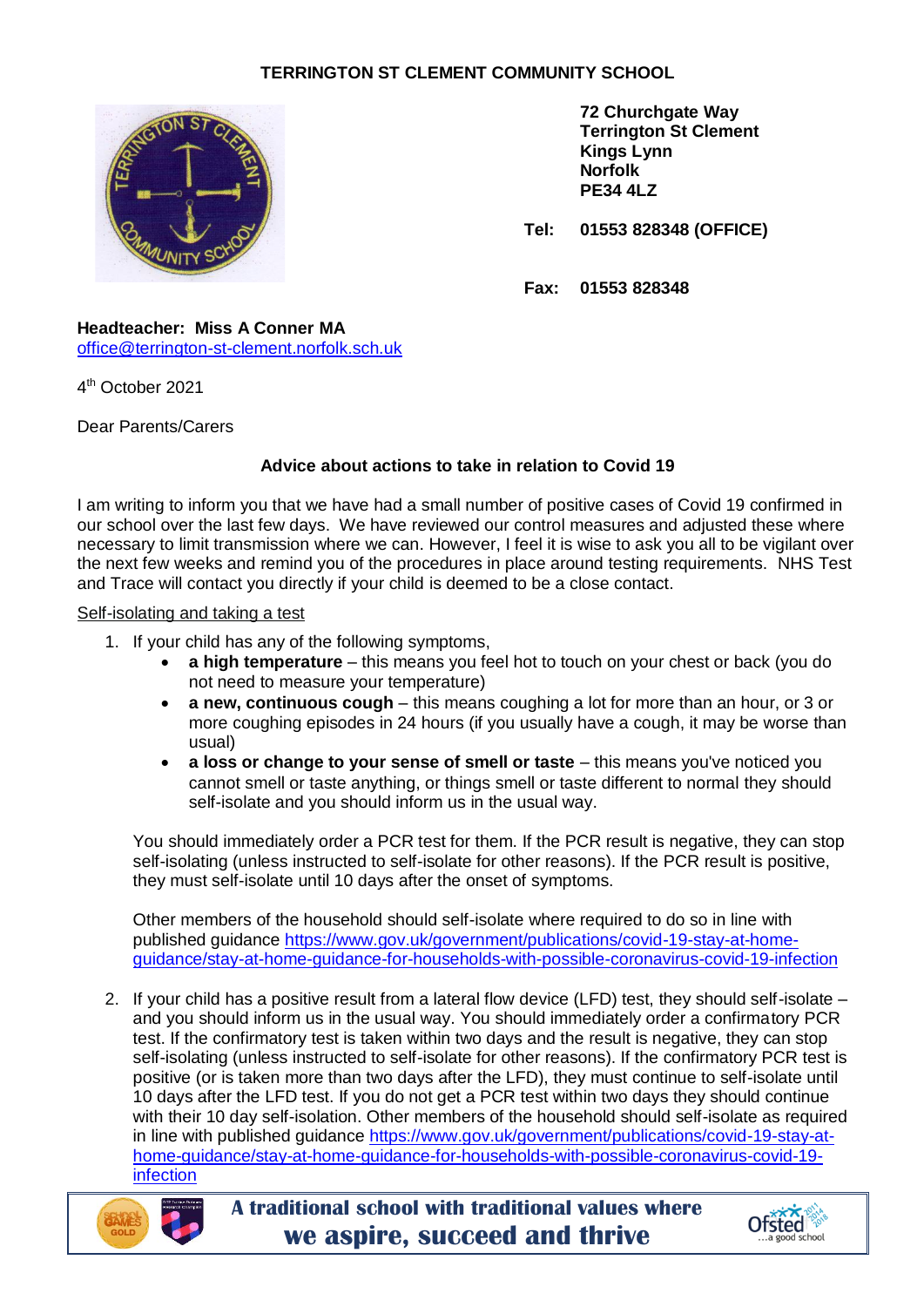# **TERRINGTON ST CLEMENT COMMUNITY SCHOOL**



**72 Churchgate Way Terrington St Clement Kings Lynn Norfolk PE34 4LZ**

**Tel: 01553 828348 (OFFICE)**

**Fax: 01553 828348**

**Headteacher: Miss A Conner MA** [office@terrington-st-clement.norfolk.sch.uk](mailto:office@terrington-st-clement.norfolk.sch.uk)

4 th October 2021

Dear Parents/Carers

## **Advice about actions to take in relation to Covid 19**

I am writing to inform you that we have had a small number of positive cases of Covid 19 confirmed in our school over the last few days. We have reviewed our control measures and adjusted these where necessary to limit transmission where we can. However, I feel it is wise to ask you all to be vigilant over the next few weeks and remind you of the procedures in place around testing requirements. NHS Test and Trace will contact you directly if your child is deemed to be a close contact.

#### Self-isolating and taking a test

- 1. If your child has any of the following symptoms,
	- **a high temperature** this means you feel hot to touch on your chest or back (you do not need to measure your temperature)
	- **a new, continuous cough** this means coughing a lot for more than an hour, or 3 or more coughing episodes in 24 hours (if you usually have a cough, it may be worse than usual)
	- **a loss or change to your sense of smell or taste** this means you've noticed you cannot smell or taste anything, or things smell or taste different to normal they should self-isolate and you should inform us in the usual way.

You should immediately order a PCR test for them. If the PCR result is negative, they can stop self-isolating (unless instructed to self-isolate for other reasons). If the PCR result is positive, they must self-isolate until 10 days after the onset of symptoms.

Other members of the household should self-isolate where required to do so in line with published guidance [https://www.gov.uk/government/publications/covid-19-stay-at-home](https://www.gov.uk/government/publications/covid-19-stay-at-home-guidance/stay-at-home-guidance-for-households-with-possible-coronavirus-covid-19-infection)[guidance/stay-at-home-guidance-for-households-with-possible-coronavirus-covid-19-infection](https://www.gov.uk/government/publications/covid-19-stay-at-home-guidance/stay-at-home-guidance-for-households-with-possible-coronavirus-covid-19-infection)

2. If your child has a positive result from a lateral flow device (LFD) test, they should self-isolate – and you should inform us in the usual way. You should immediately order a confirmatory PCR test. If the confirmatory test is taken within two days and the result is negative, they can stop self-isolating (unless instructed to self-isolate for other reasons). If the confirmatory PCR test is positive (or is taken more than two days after the LFD), they must continue to self-isolate until 10 days after the LFD test. If you do not get a PCR test within two days they should continue with their 10 day self-isolation. Other members of the household should self-isolate as required in line with published guidance [https://www.gov.uk/government/publications/covid-19-stay-at](https://www.gov.uk/government/publications/covid-19-stay-at-home-guidance/stay-at-home-guidance-for-households-with-possible-coronavirus-covid-19-infection)[home-guidance/stay-at-home-guidance-for-households-with-possible-coronavirus-covid-19](https://www.gov.uk/government/publications/covid-19-stay-at-home-guidance/stay-at-home-guidance-for-households-with-possible-coronavirus-covid-19-infection) [infection](https://www.gov.uk/government/publications/covid-19-stay-at-home-guidance/stay-at-home-guidance-for-households-with-possible-coronavirus-covid-19-infection)



**A traditional school with traditional values where we aspire, succeed and thrive**